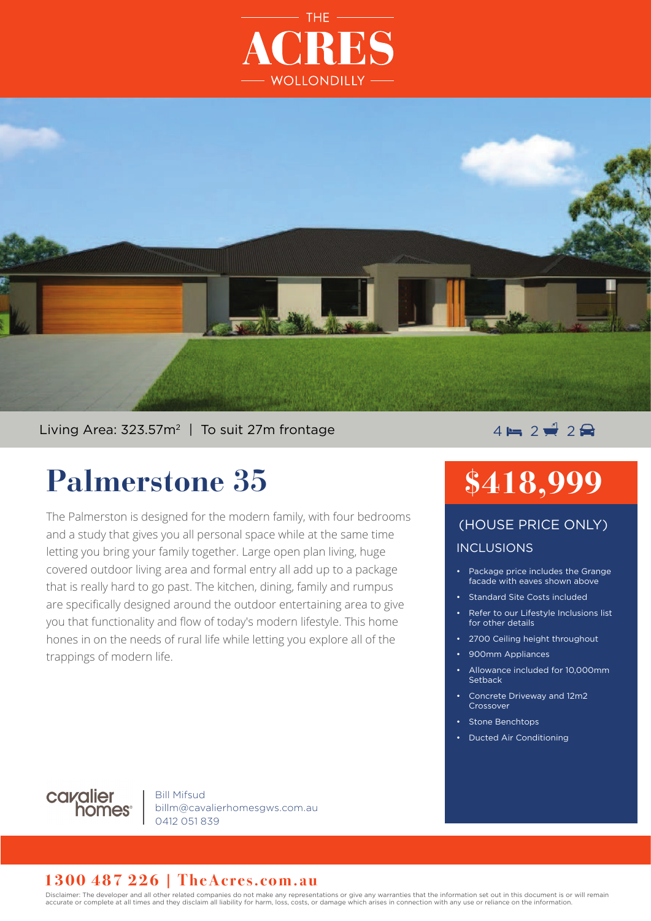



Living Area: 323.57m<sup>2</sup> | To suit 27m frontage  $\overline{4} = 2 \frac{1}{2} 2 \frac{1}{2}$ 

## **Palmerstone 35**

The Palmerston is designed for the modern family, with four bedrooms and a study that gives you all personal space while at the same time letting you bring your family together. Large open plan living, huge covered outdoor living area and formal entry all add up to a package that is really hard to go past. The kitchen, dining, family and rumpus are specifically designed around the outdoor entertaining area to give you that functionality and flow of today's modern lifestyle. This home hones in on the needs of rural life while letting you explore all of the trappings of modern life.

# **\$418,999**

### INCLUSIONS (HOUSE PRICE ONLY)

- Package price includes the Grange facade with eaves shown above
- Standard Site Costs included
- Refer to our Lifestyle Inclusions list for other details
- 2700 Ceiling height throughout
- 900mm Appliances
- Allowance included for 10,000mm **Setback**
- Concrete Driveway and 12m2 Crossover
- Stone Benchtops
- Ducted Air Conditioning



Bill Mifsud billm@cavalierhomesgws.com.au 0412 051 839

#### **1300 487 226 | TheAcres.com.au**

Disclaimer: The developer and all other related companies do not make any representations or give any warranties that the information set out in this document is or will remain accurate or complete at all times and they disclaim all liability for harm, loss, costs, or damage which arises in connection with any use or reliance on the information.